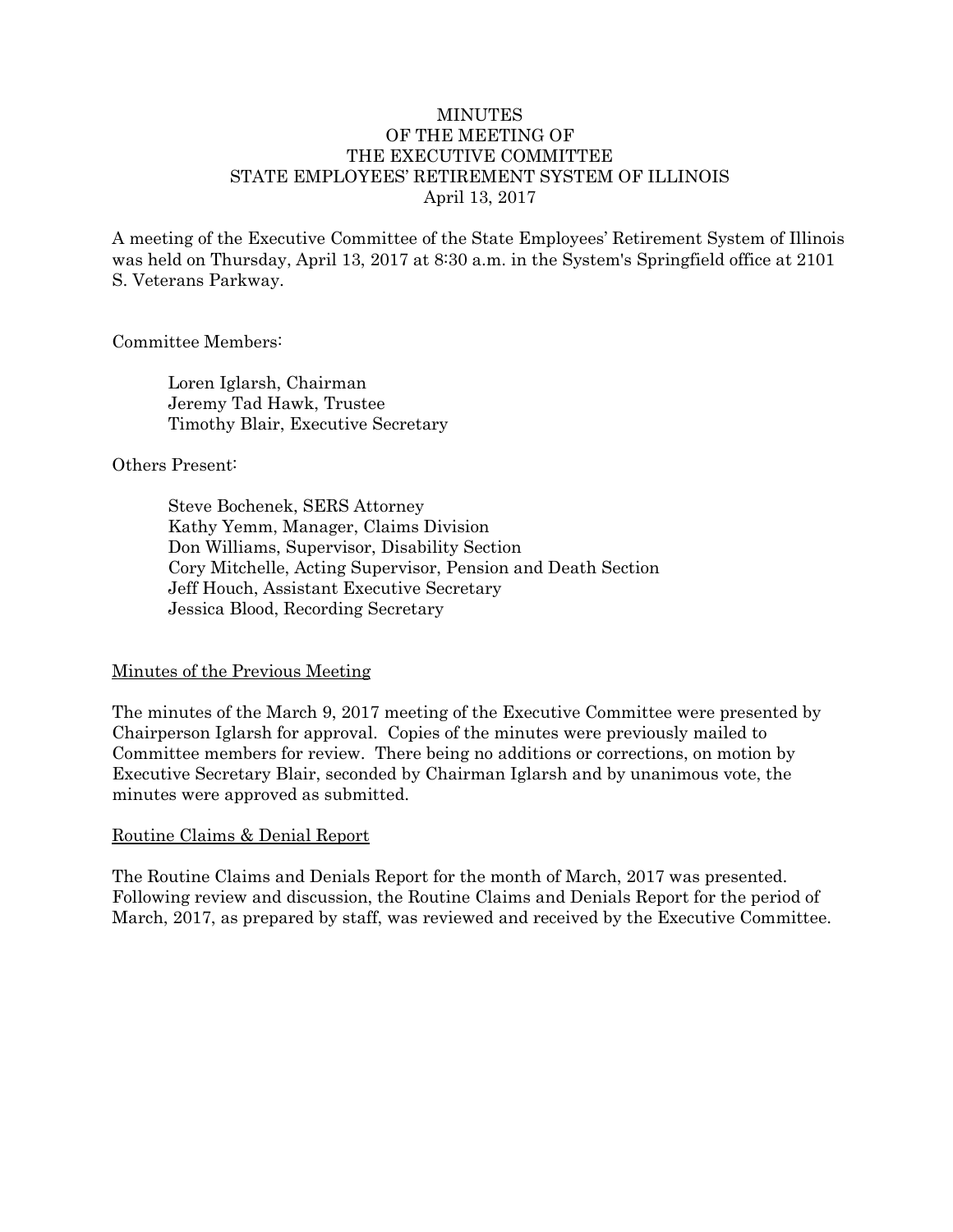#### **MINUTES** OF THE MEETING OF THE EXECUTIVE COMMITTEE STATE EMPLOYEES' RETIREMENT SYSTEM OF ILLINOIS April 13, 2017

A meeting of the Executive Committee of the State Employees' Retirement System of Illinois was held on Thursday, April 13, 2017 at 8:30 a.m. in the System's Springfield office at 2101 S. Veterans Parkway.

#### Committee Members:

Loren Iglarsh, Chairman Jeremy Tad Hawk, Trustee Timothy Blair, Executive Secretary

#### Others Present:

Steve Bochenek, SERS Attorney Kathy Yemm, Manager, Claims Division Don Williams, Supervisor, Disability Section Cory Mitchelle, Acting Supervisor, Pension and Death Section Jeff Houch, Assistant Executive Secretary Jessica Blood, Recording Secretary

### Minutes of the Previous Meeting

The minutes of the March 9, 2017 meeting of the Executive Committee were presented by Chairperson Iglarsh for approval. Copies of the minutes were previously mailed to Committee members for review. There being no additions or corrections, on motion by Executive Secretary Blair, seconded by Chairman Iglarsh and by unanimous vote, the minutes were approved as submitted.

### Routine Claims & Denial Report

The Routine Claims and Denials Report for the month of March, 2017 was presented. Following review and discussion, the Routine Claims and Denials Report for the period of March, 2017, as prepared by staff, was reviewed and received by the Executive Committee.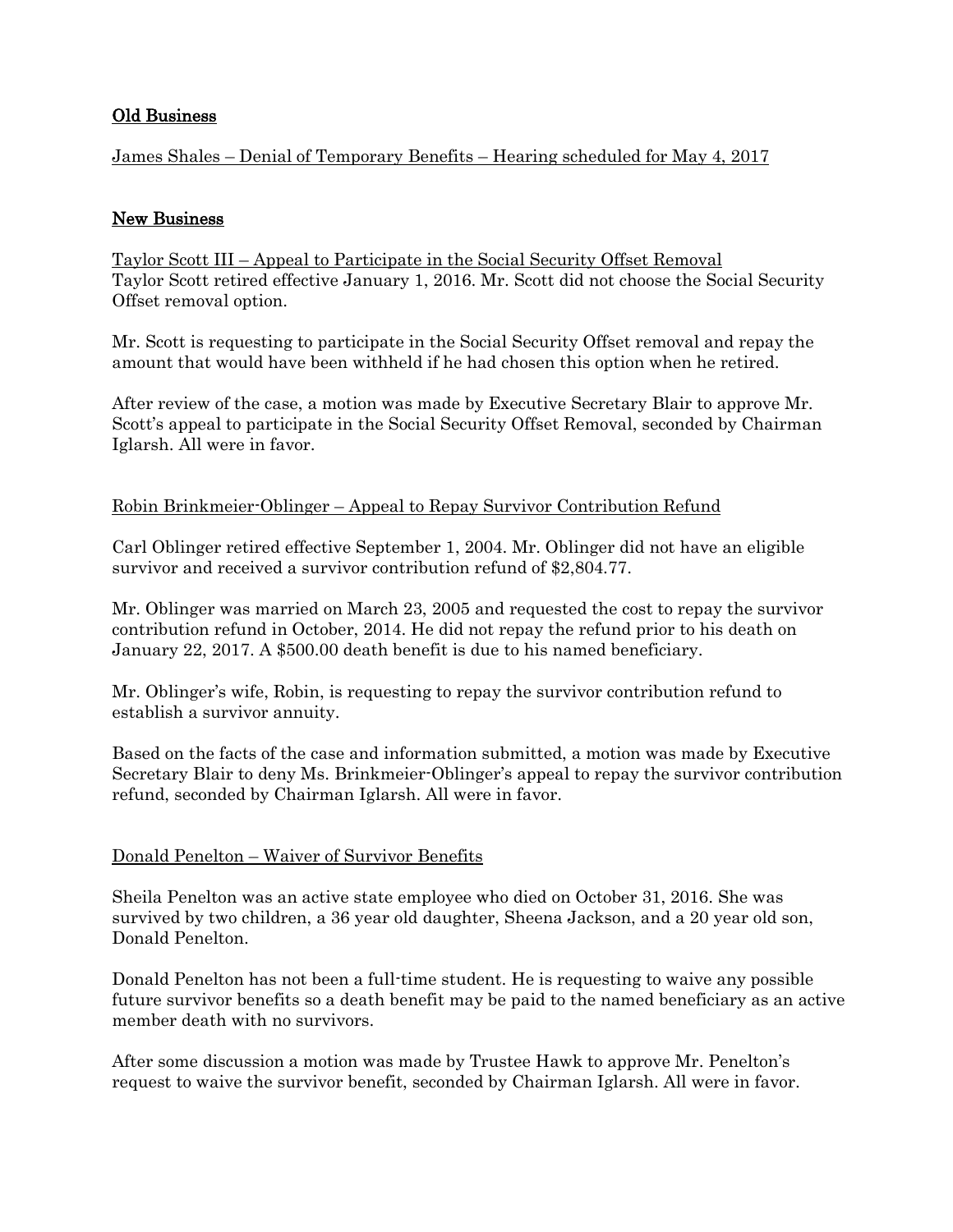## Old Business

James Shales – Denial of Temporary Benefits – Hearing scheduled for May 4, 2017

## New Business

Taylor Scott III – Appeal to Participate in the Social Security Offset Removal Taylor Scott retired effective January 1, 2016. Mr. Scott did not choose the Social Security Offset removal option.

Mr. Scott is requesting to participate in the Social Security Offset removal and repay the amount that would have been withheld if he had chosen this option when he retired.

After review of the case, a motion was made by Executive Secretary Blair to approve Mr. Scott's appeal to participate in the Social Security Offset Removal, seconded by Chairman Iglarsh. All were in favor.

### Robin Brinkmeier-Oblinger – Appeal to Repay Survivor Contribution Refund

Carl Oblinger retired effective September 1, 2004. Mr. Oblinger did not have an eligible survivor and received a survivor contribution refund of \$2,804.77.

Mr. Oblinger was married on March 23, 2005 and requested the cost to repay the survivor contribution refund in October, 2014. He did not repay the refund prior to his death on January 22, 2017. A \$500.00 death benefit is due to his named beneficiary.

Mr. Oblinger's wife, Robin, is requesting to repay the survivor contribution refund to establish a survivor annuity.

Based on the facts of the case and information submitted, a motion was made by Executive Secretary Blair to deny Ms. Brinkmeier-Oblinger's appeal to repay the survivor contribution refund, seconded by Chairman Iglarsh. All were in favor.

### Donald Penelton – Waiver of Survivor Benefits

Sheila Penelton was an active state employee who died on October 31, 2016. She was survived by two children, a 36 year old daughter, Sheena Jackson, and a 20 year old son, Donald Penelton.

Donald Penelton has not been a full-time student. He is requesting to waive any possible future survivor benefits so a death benefit may be paid to the named beneficiary as an active member death with no survivors.

After some discussion a motion was made by Trustee Hawk to approve Mr. Penelton's request to waive the survivor benefit, seconded by Chairman Iglarsh. All were in favor.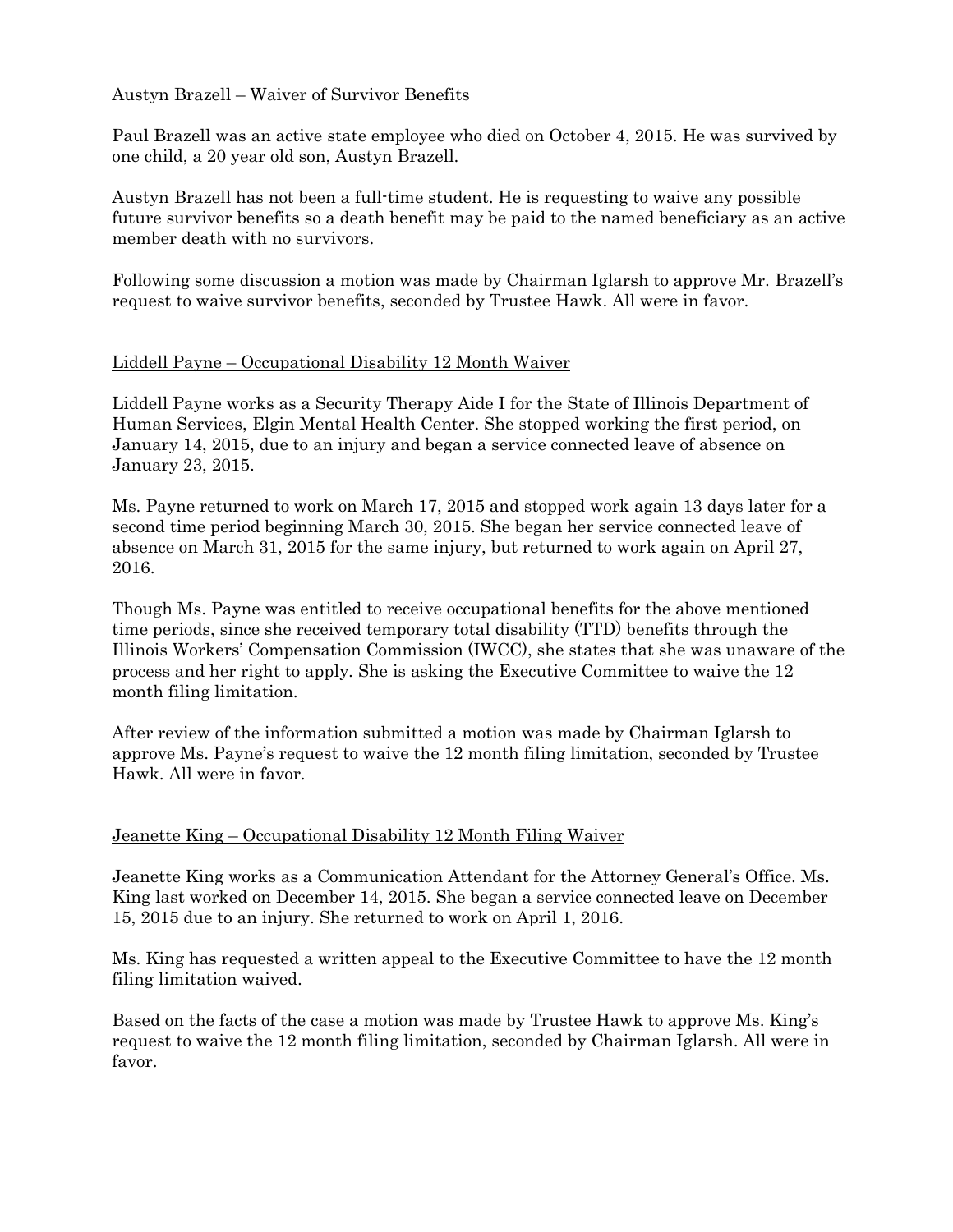## Austyn Brazell – Waiver of Survivor Benefits

Paul Brazell was an active state employee who died on October 4, 2015. He was survived by one child, a 20 year old son, Austyn Brazell.

Austyn Brazell has not been a full-time student. He is requesting to waive any possible future survivor benefits so a death benefit may be paid to the named beneficiary as an active member death with no survivors.

Following some discussion a motion was made by Chairman Iglarsh to approve Mr. Brazell's request to waive survivor benefits, seconded by Trustee Hawk. All were in favor.

### Liddell Payne – Occupational Disability 12 Month Waiver

Liddell Payne works as a Security Therapy Aide I for the State of Illinois Department of Human Services, Elgin Mental Health Center. She stopped working the first period, on January 14, 2015, due to an injury and began a service connected leave of absence on January 23, 2015.

Ms. Payne returned to work on March 17, 2015 and stopped work again 13 days later for a second time period beginning March 30, 2015. She began her service connected leave of absence on March 31, 2015 for the same injury, but returned to work again on April 27, 2016.

Though Ms. Payne was entitled to receive occupational benefits for the above mentioned time periods, since she received temporary total disability (TTD) benefits through the Illinois Workers' Compensation Commission (IWCC), she states that she was unaware of the process and her right to apply. She is asking the Executive Committee to waive the 12 month filing limitation.

After review of the information submitted a motion was made by Chairman Iglarsh to approve Ms. Payne's request to waive the 12 month filing limitation, seconded by Trustee Hawk. All were in favor.

### Jeanette King – Occupational Disability 12 Month Filing Waiver

Jeanette King works as a Communication Attendant for the Attorney General's Office. Ms. King last worked on December 14, 2015. She began a service connected leave on December 15, 2015 due to an injury. She returned to work on April 1, 2016.

Ms. King has requested a written appeal to the Executive Committee to have the 12 month filing limitation waived.

Based on the facts of the case a motion was made by Trustee Hawk to approve Ms. King's request to waive the 12 month filing limitation, seconded by Chairman Iglarsh. All were in favor.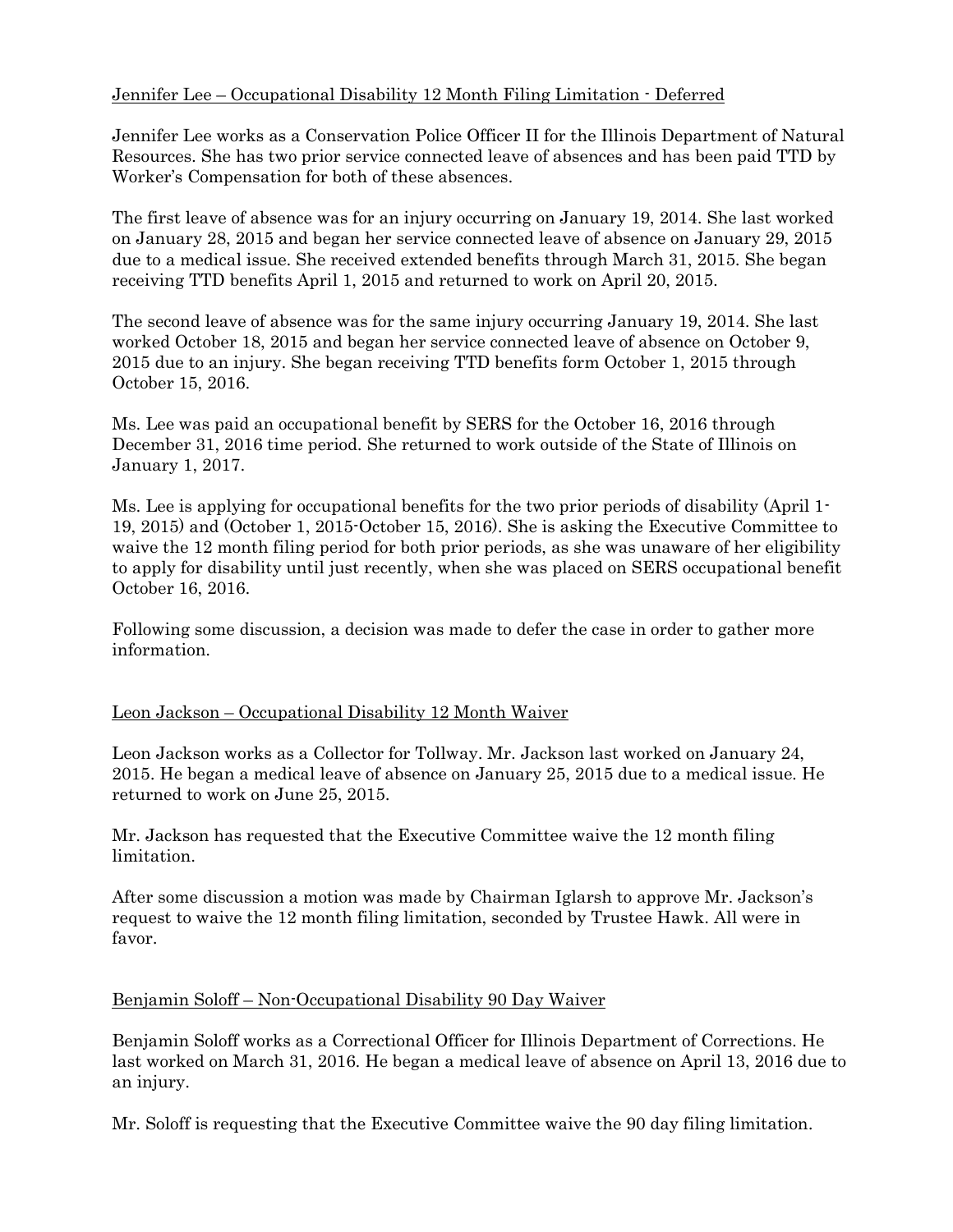# Jennifer Lee – Occupational Disability 12 Month Filing Limitation - Deferred

Jennifer Lee works as a Conservation Police Officer II for the Illinois Department of Natural Resources. She has two prior service connected leave of absences and has been paid TTD by Worker's Compensation for both of these absences.

The first leave of absence was for an injury occurring on January 19, 2014. She last worked on January 28, 2015 and began her service connected leave of absence on January 29, 2015 due to a medical issue. She received extended benefits through March 31, 2015. She began receiving TTD benefits April 1, 2015 and returned to work on April 20, 2015.

The second leave of absence was for the same injury occurring January 19, 2014. She last worked October 18, 2015 and began her service connected leave of absence on October 9, 2015 due to an injury. She began receiving TTD benefits form October 1, 2015 through October 15, 2016.

Ms. Lee was paid an occupational benefit by SERS for the October 16, 2016 through December 31, 2016 time period. She returned to work outside of the State of Illinois on January 1, 2017.

Ms. Lee is applying for occupational benefits for the two prior periods of disability (April 1- 19, 2015) and (October 1, 2015-October 15, 2016). She is asking the Executive Committee to waive the 12 month filing period for both prior periods, as she was unaware of her eligibility to apply for disability until just recently, when she was placed on SERS occupational benefit October 16, 2016.

Following some discussion, a decision was made to defer the case in order to gather more information.

### Leon Jackson – Occupational Disability 12 Month Waiver

Leon Jackson works as a Collector for Tollway. Mr. Jackson last worked on January 24, 2015. He began a medical leave of absence on January 25, 2015 due to a medical issue. He returned to work on June 25, 2015.

Mr. Jackson has requested that the Executive Committee waive the 12 month filing limitation.

After some discussion a motion was made by Chairman Iglarsh to approve Mr. Jackson's request to waive the 12 month filing limitation, seconded by Trustee Hawk. All were in favor.

#### Benjamin Soloff – Non-Occupational Disability 90 Day Waiver

Benjamin Soloff works as a Correctional Officer for Illinois Department of Corrections. He last worked on March 31, 2016. He began a medical leave of absence on April 13, 2016 due to an injury.

Mr. Soloff is requesting that the Executive Committee waive the 90 day filing limitation.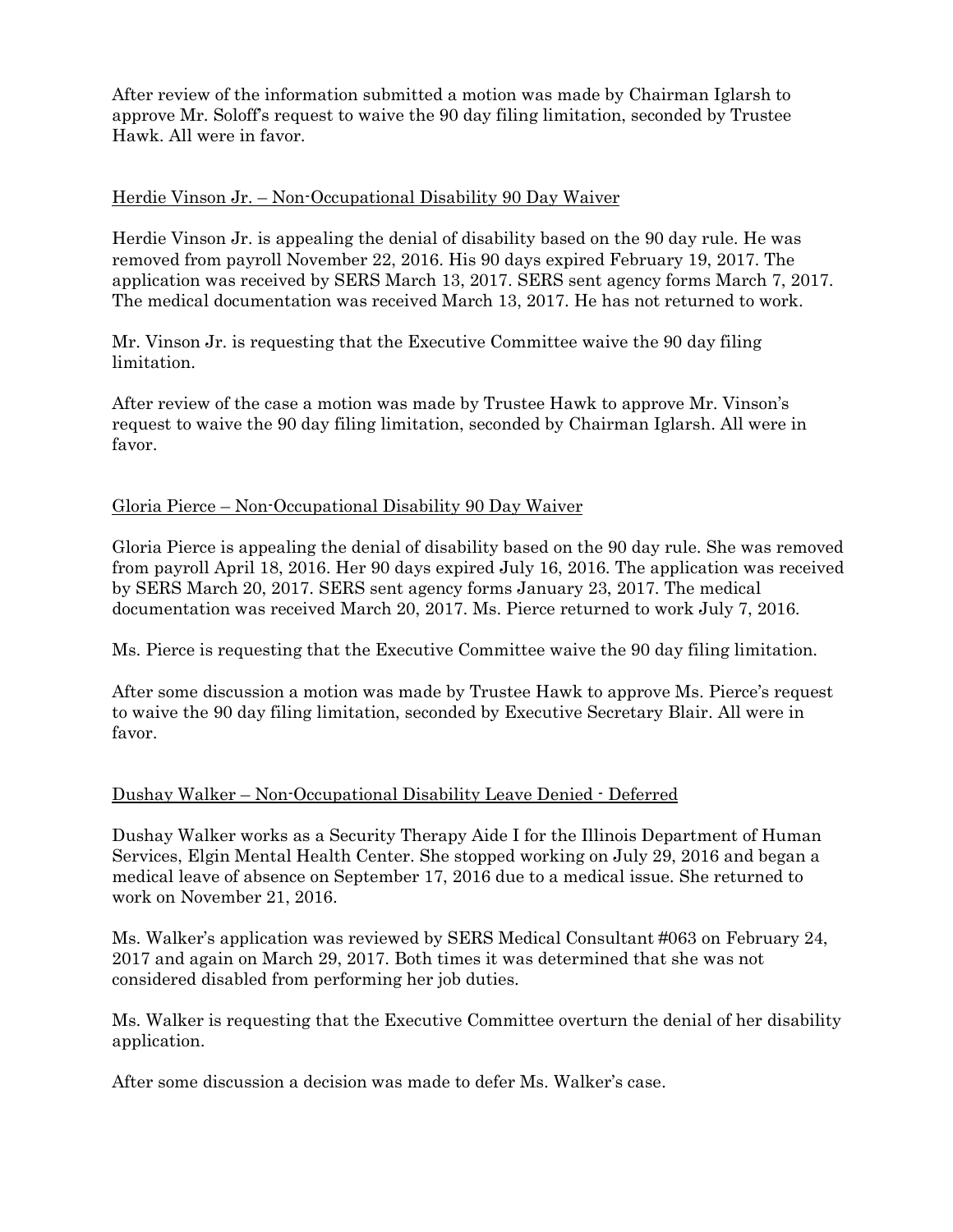After review of the information submitted a motion was made by Chairman Iglarsh to approve Mr. Soloff's request to waive the 90 day filing limitation, seconded by Trustee Hawk. All were in favor.

### Herdie Vinson Jr. – Non-Occupational Disability 90 Day Waiver

Herdie Vinson Jr. is appealing the denial of disability based on the 90 day rule. He was removed from payroll November 22, 2016. His 90 days expired February 19, 2017. The application was received by SERS March 13, 2017. SERS sent agency forms March 7, 2017. The medical documentation was received March 13, 2017. He has not returned to work.

Mr. Vinson Jr. is requesting that the Executive Committee waive the 90 day filing limitation.

After review of the case a motion was made by Trustee Hawk to approve Mr. Vinson's request to waive the 90 day filing limitation, seconded by Chairman Iglarsh. All were in favor.

### Gloria Pierce – Non-Occupational Disability 90 Day Waiver

Gloria Pierce is appealing the denial of disability based on the 90 day rule. She was removed from payroll April 18, 2016. Her 90 days expired July 16, 2016. The application was received by SERS March 20, 2017. SERS sent agency forms January 23, 2017. The medical documentation was received March 20, 2017. Ms. Pierce returned to work July 7, 2016.

Ms. Pierce is requesting that the Executive Committee waive the 90 day filing limitation.

After some discussion a motion was made by Trustee Hawk to approve Ms. Pierce's request to waive the 90 day filing limitation, seconded by Executive Secretary Blair. All were in favor.

### Dushay Walker – Non-Occupational Disability Leave Denied - Deferred

Dushay Walker works as a Security Therapy Aide I for the Illinois Department of Human Services, Elgin Mental Health Center. She stopped working on July 29, 2016 and began a medical leave of absence on September 17, 2016 due to a medical issue. She returned to work on November 21, 2016.

Ms. Walker's application was reviewed by SERS Medical Consultant #063 on February 24, 2017 and again on March 29, 2017. Both times it was determined that she was not considered disabled from performing her job duties.

Ms. Walker is requesting that the Executive Committee overturn the denial of her disability application.

After some discussion a decision was made to defer Ms. Walker's case.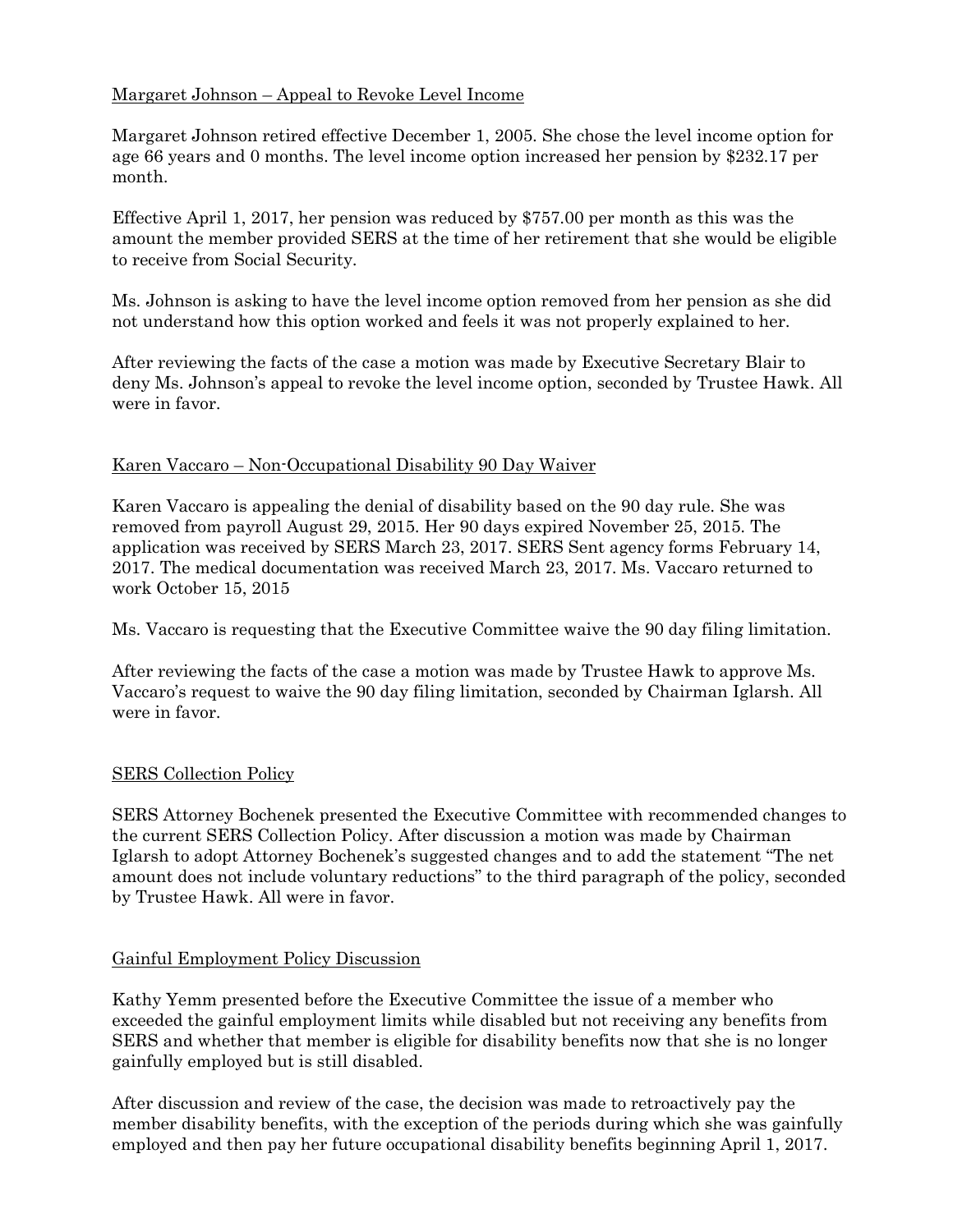# Margaret Johnson – Appeal to Revoke Level Income

Margaret Johnson retired effective December 1, 2005. She chose the level income option for age 66 years and 0 months. The level income option increased her pension by \$232.17 per month.

Effective April 1, 2017, her pension was reduced by \$757.00 per month as this was the amount the member provided SERS at the time of her retirement that she would be eligible to receive from Social Security.

Ms. Johnson is asking to have the level income option removed from her pension as she did not understand how this option worked and feels it was not properly explained to her.

After reviewing the facts of the case a motion was made by Executive Secretary Blair to deny Ms. Johnson's appeal to revoke the level income option, seconded by Trustee Hawk. All were in favor.

### Karen Vaccaro – Non-Occupational Disability 90 Day Waiver

Karen Vaccaro is appealing the denial of disability based on the 90 day rule. She was removed from payroll August 29, 2015. Her 90 days expired November 25, 2015. The application was received by SERS March 23, 2017. SERS Sent agency forms February 14, 2017. The medical documentation was received March 23, 2017. Ms. Vaccaro returned to work October 15, 2015

Ms. Vaccaro is requesting that the Executive Committee waive the 90 day filing limitation.

After reviewing the facts of the case a motion was made by Trustee Hawk to approve Ms. Vaccaro's request to waive the 90 day filing limitation, seconded by Chairman Iglarsh. All were in favor.

### SERS Collection Policy

SERS Attorney Bochenek presented the Executive Committee with recommended changes to the current SERS Collection Policy. After discussion a motion was made by Chairman Iglarsh to adopt Attorney Bochenek's suggested changes and to add the statement "The net amount does not include voluntary reductions" to the third paragraph of the policy, seconded by Trustee Hawk. All were in favor.

### Gainful Employment Policy Discussion

Kathy Yemm presented before the Executive Committee the issue of a member who exceeded the gainful employment limits while disabled but not receiving any benefits from SERS and whether that member is eligible for disability benefits now that she is no longer gainfully employed but is still disabled.

After discussion and review of the case, the decision was made to retroactively pay the member disability benefits, with the exception of the periods during which she was gainfully employed and then pay her future occupational disability benefits beginning April 1, 2017.